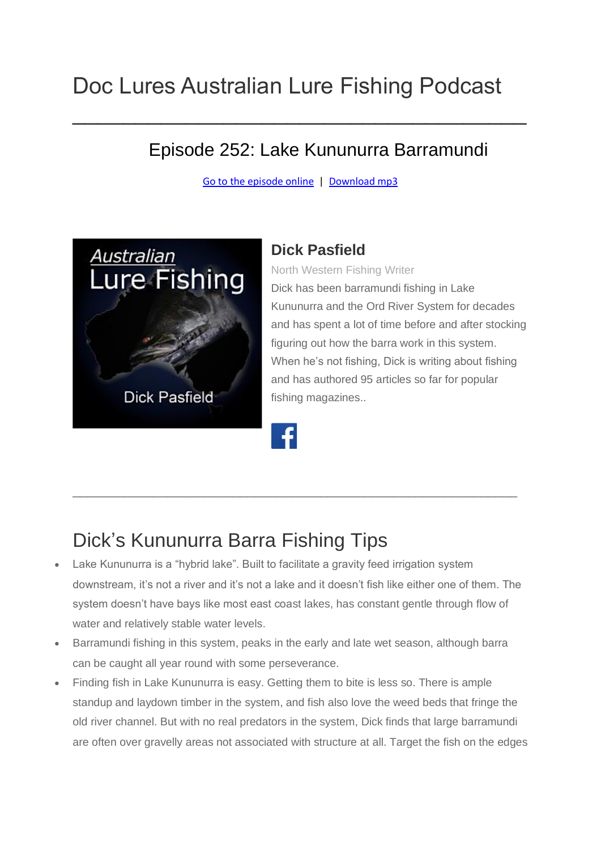# Doc Lures Australian Lure Fishing Podcast

#### Episode 252: Lake Kununurra Barramundi

[Go to the episode online](https://doclures.com/kununurra-barramundi-dick-pasfield/) | [Download mp3](https://traffic.libsyn.com/secure/doclures/kununurra-barramundi-dick-pasfield.mp3)

 $\mathcal{L}_\text{max}$  and  $\mathcal{L}_\text{max}$  and  $\mathcal{L}_\text{max}$  are the set of  $\mathcal{L}_\text{max}$  and  $\mathcal{L}_\text{max}$ 



#### **Dick Pasfield**

North Western Fishing Writer

Dick has been barramundi fishing in Lake Kununurra and the Ord River System for decades and has spent a lot of time before and after stocking figuring out how the barra work in this system. When he's not fishing, Dick is writing about fishing and has authored 95 articles so far for popular fishing magazines..

#### Dick's Kununurra Barra Fishing Tips

Lake Kununurra is a "hybrid lake". Built to facilitate a gravity feed irrigation system downstream, it's not a river and it's not a lake and it doesn't fish like either one of them. The system doesn't have bays like most east coast lakes, has constant gentle through flow of water and relatively stable water levels.

\_\_\_\_\_\_\_\_\_\_\_\_\_\_\_\_\_\_\_\_\_\_\_\_\_\_\_\_\_\_\_\_\_\_\_\_\_\_\_\_\_\_\_\_\_\_\_\_\_\_\_\_\_\_\_\_\_\_\_\_\_

- Barramundi fishing in this system, peaks in the early and late wet season, although barra can be caught all year round with some perseverance.
- Finding fish in Lake Kununurra is easy. Getting them to bite is less so. There is ample standup and laydown timber in the system, and fish also love the weed beds that fringe the old river channel. But with no real predators in the system, Dick finds that large barramundi are often over gravelly areas not associated with structure at all. Target the fish on the edges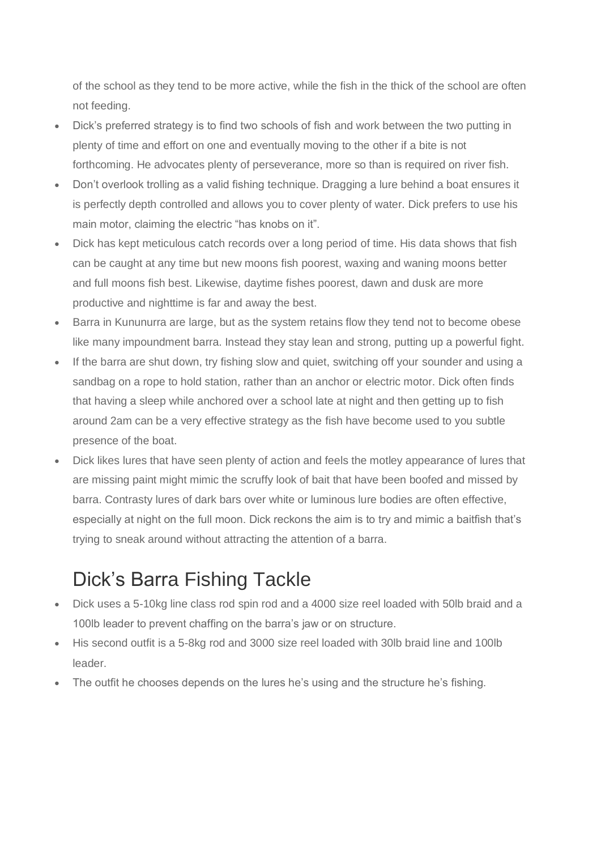of the school as they tend to be more active, while the fish in the thick of the school are often not feeding.

- Dick's preferred strategy is to find two schools of fish and work between the two putting in plenty of time and effort on one and eventually moving to the other if a bite is not forthcoming. He advocates plenty of perseverance, more so than is required on river fish.
- Don't overlook trolling as a valid fishing technique. Dragging a lure behind a boat ensures it is perfectly depth controlled and allows you to cover plenty of water. Dick prefers to use his main motor, claiming the electric "has knobs on it".
- Dick has kept meticulous catch records over a long period of time. His data shows that fish can be caught at any time but new moons fish poorest, waxing and waning moons better and full moons fish best. Likewise, daytime fishes poorest, dawn and dusk are more productive and nighttime is far and away the best.
- Barra in Kununurra are large, but as the system retains flow they tend not to become obese like many impoundment barra. Instead they stay lean and strong, putting up a powerful fight.
- If the barra are shut down, try fishing slow and quiet, switching off your sounder and using a sandbag on a rope to hold station, rather than an anchor or electric motor. Dick often finds that having a sleep while anchored over a school late at night and then getting up to fish around 2am can be a very effective strategy as the fish have become used to you subtle presence of the boat.
- Dick likes lures that have seen plenty of action and feels the motley appearance of lures that are missing paint might mimic the scruffy look of bait that have been boofed and missed by barra. Contrasty lures of dark bars over white or luminous lure bodies are often effective, especially at night on the full moon. Dick reckons the aim is to try and mimic a baitfish that's trying to sneak around without attracting the attention of a barra.

## Dick's Barra Fishing Tackle

- Dick uses a 5-10kg line class rod spin rod and a 4000 size reel loaded with 50lb braid and a 100lb leader to prevent chaffing on the barra's jaw or on structure.
- His second outfit is a 5-8kg rod and 3000 size reel loaded with 30lb braid line and 100lb leader.
- The outfit he chooses depends on the lures he's using and the structure he's fishing.